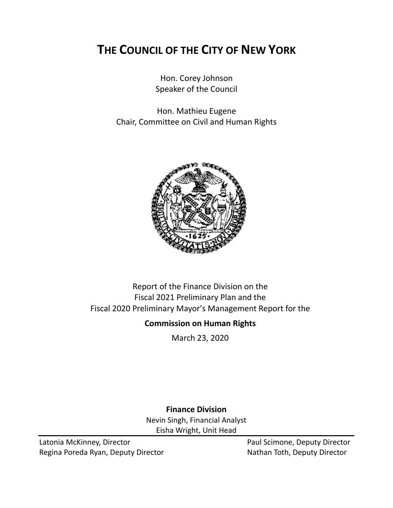# **THE COUNCIL OF THE CITY OF NEW YORK**

Hon. Corey Johnson Speaker of the Council

Hon. Mathieu Eugene Chair, Committee on Civil and Human Rights



# Report of the Finance Division on the Fiscal 2021 Preliminary Plan and the Fiscal 2020 Preliminary Mayor's Management Report for the

## **Commission on Human Rights**

March 23, 2020

**Finance Division** Nevin Singh, Financial Analyst Eisha Wright, Unit Head

Latonia McKinney, Director **Paul Scimone, Deputy Director** Paul Scimone, Deputy Director Regina Poreda Ryan, Deputy Director Nathan Toth, Deputy Director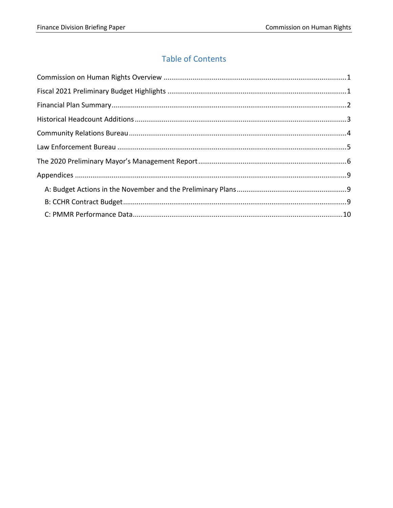# **Table of Contents**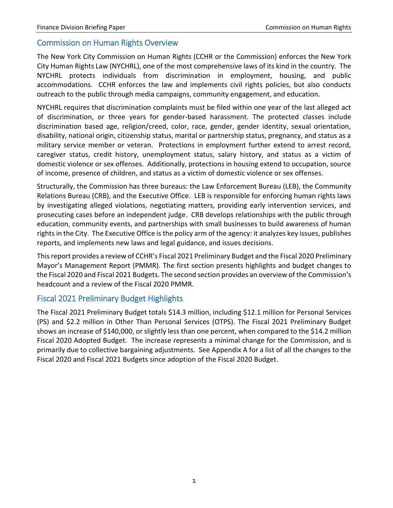#### <span id="page-2-0"></span>Commission on Human Rights Overview

The New York City Commission on Human Rights (CCHR or the Commission) enforces the New York City Human Rights Law (NYCHRL), one of the most comprehensive laws of its kind in the country. The NYCHRL protects individuals from discrimination in employment, housing, and public accommodations. CCHR enforces the law and implements civil rights policies, but also conducts outreach to the public through media campaigns, community engagement, and education.

NYCHRL requires that discrimination complaints must be filed within one year of the last alleged act of discrimination, or three years for gender-based harassment. The protected classes include discrimination based age, religion/creed, color, race, gender, gender identity, sexual orientation, disability, national origin, citizenship status, marital or partnership status, pregnancy, and status as a military service member or veteran. Protections in employment further extend to arrest record, caregiver status, credit history, unemployment status, salary history, and status as a victim of domestic violence or sex offenses. Additionally, protections in housing extend to occupation, source of income, presence of children, and status as a victim of domestic violence or sex offenses.

Structurally, the Commission has three bureaus: the Law Enforcement Bureau (LEB), the Community Relations Bureau (CRB), and the Executive Office. LEB is responsible for enforcing human rights laws by investigating alleged violations, negotiating matters, providing early intervention services, and prosecuting cases before an independent judge. CRB develops relationships with the public through education, community events, and partnerships with small businesses to build awareness of human rights in the City. The Executive Office is the policy arm of the agency: it analyzes key issues, publishes reports, and implements new laws and legal guidance, and issues decisions.

This report provides a review of CCHR's Fiscal 2021 Preliminary Budget and the Fiscal 2020 Preliminary Mayor's Management Report (PMMR). The first section presents highlights and budget changes to the Fiscal 2020 and Fiscal 2021 Budgets. The second section provides an overview of the Commission's headcount and a review of the Fiscal 2020 PMMR.

#### <span id="page-2-1"></span>Fiscal 2021 Preliminary Budget Highlights

The Fiscal 2021 Preliminary Budget totals \$14.3 million, including \$12.1 million for Personal Services (PS) and \$2.2 million in Other Than Personal Services (OTPS). The Fiscal 2021 Preliminary Budget shows an increase of \$140,000, or slightly less than one percent, when compared to the \$14.2 million Fiscal 2020 Adopted Budget. The increase represents a minimal change for the Commission, and is primarily due to collective bargaining adjustments. See Appendix A for a list of all the changes to the Fiscal 2020 and Fiscal 2021 Budgets since adoption of the Fiscal 2020 Budget.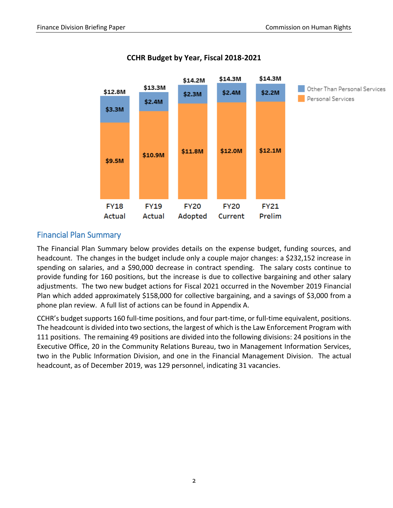

## **CCHR Budget by Year, Fiscal 2018-2021**

## <span id="page-3-0"></span>Financial Plan Summary

The Financial Plan Summary below provides details on the expense budget, funding sources, and headcount. The changes in the budget include only a couple major changes: a \$232,152 increase in spending on salaries, and a \$90,000 decrease in contract spending. The salary costs continue to provide funding for 160 positions, but the increase is due to collective bargaining and other salary adjustments. The two new budget actions for Fiscal 2021 occurred in the November 2019 Financial Plan which added approximately \$158,000 for collective bargaining, and a savings of \$3,000 from a phone plan review. A full list of actions can be found in Appendix A.

CCHR's budget supports 160 full-time positions, and four part-time, or full-time equivalent, positions. The headcount is divided into two sections, the largest of which is the Law Enforcement Program with 111 positions. The remaining 49 positions are divided into the following divisions: 24 positions in the Executive Office, 20 in the Community Relations Bureau, two in Management Information Services, two in the Public Information Division, and one in the Financial Management Division. The actual headcount, as of December 2019, was 129 personnel, indicating 31 vacancies.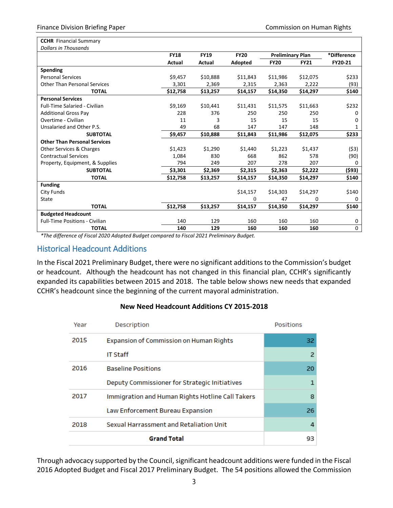| <b>CCHR</b> Financial Summary         |             |             |             |                         |             |             |
|---------------------------------------|-------------|-------------|-------------|-------------------------|-------------|-------------|
| <b>Dollars in Thousands</b>           |             |             |             |                         |             |             |
|                                       | <b>FY18</b> | <b>FY19</b> | <b>FY20</b> | <b>Preliminary Plan</b> |             | *Difference |
|                                       | Actual      | Actual      | Adopted     | <b>FY20</b>             | <b>FY21</b> | FY20-21     |
| Spending                              |             |             |             |                         |             |             |
| <b>Personal Services</b>              | \$9,457     | \$10,888    | \$11,843    | \$11,986                | \$12,075    | \$233       |
| <b>Other Than Personal Services</b>   | 3,301       | 2,369       | 2,315       | 2,363                   | 2,222       | (93)        |
| <b>TOTAL</b>                          | \$12,758    | \$13,257    | \$14,157    | \$14,350                | \$14,297    | \$140       |
| <b>Personal Services</b>              |             |             |             |                         |             |             |
| <b>Full-Time Salaried - Civilian</b>  | \$9,169     | \$10,441    | \$11,431    | \$11,575                | \$11,663    | \$232       |
| <b>Additional Gross Pay</b>           | 228         | 376         | 250         | 250                     | 250         | 0           |
| Overtime - Civilian                   | 11          | 3           | 15          | 15                      | 15          | 0           |
| Unsalaried and Other P.S.             | 49          | 68          | 147         | 147                     | 148         | 1           |
| <b>SUBTOTAL</b>                       | \$9,457     | \$10,888    | \$11,843    | \$11,986                | \$12,075    | \$233       |
| <b>Other Than Personal Services</b>   |             |             |             |                         |             |             |
| Other Services & Charges              | \$1,423     | \$1,290     | \$1,440     | \$1,223                 | \$1,437     | (53)        |
| <b>Contractual Services</b>           | 1,084       | 830         | 668         | 862                     | 578         | (90)        |
| Property, Equipment, & Supplies       | 794         | 249         | 207         | 278                     | 207         | 0           |
| <b>SUBTOTAL</b>                       | \$3,301     | \$2,369     | \$2,315     | \$2,363                 | \$2,222     | (\$93)      |
| <b>TOTAL</b>                          | \$12,758    | \$13,257    | \$14,157    | \$14,350                | \$14,297    | \$140       |
| <b>Funding</b>                        |             |             |             |                         |             |             |
| City Funds                            |             |             | \$14,157    | \$14,303                | \$14,297    | \$140       |
| State                                 |             |             | $\Omega$    | 47                      | $\Omega$    | 0           |
| <b>TOTAL</b>                          | \$12,758    | \$13,257    | \$14,157    | \$14,350                | \$14,297    | \$140       |
| <b>Budgeted Headcount</b>             |             |             |             |                         |             |             |
| <b>Full-Time Positions - Civilian</b> | 140         | 129         | 160         | 160                     | 160         | 0           |
| <b>TOTAL</b>                          | 140         | 129         | 160         | 160                     | 160         | 0           |

*\*The difference of Fiscal 2020 Adopted Budget compared to Fiscal 2021 Preliminary Budget.*

#### <span id="page-4-0"></span>Historical Headcount Additions

In the Fiscal 2021 Preliminary Budget, there were no significant additions to the Commission's budget or headcount. Although the headcount has not changed in this financial plan, CCHR's significantly expanded its capabilities between 2015 and 2018. The table below shows new needs that expanded CCHR's headcount since the beginning of the current mayoral administration.

#### **New Need Headcount Additions CY 2015-2018**

| Year | Description                                      | <b>Positions</b> |
|------|--------------------------------------------------|------------------|
| 2015 | Expansion of Commission on Human Rights          | 32               |
|      | <b>IT Staff</b>                                  | 2                |
| 2016 | <b>Baseline Positions</b>                        | 20               |
|      | Deputy Commissioner for Strategic Initiatives    | 1                |
| 2017 | Immigration and Human Rights Hotline Call Takers | 8                |
|      | Law Enforcement Bureau Expansion                 | 26               |
| 2018 | Sexual Harrassment and Retaliation Unit          | 4                |
|      | <b>Grand Total</b>                               | 93               |

Through advocacy supported by the Council, significant headcount additions were funded in the Fiscal 2016 Adopted Budget and Fiscal 2017 Preliminary Budget. The 54 positions allowed the Commission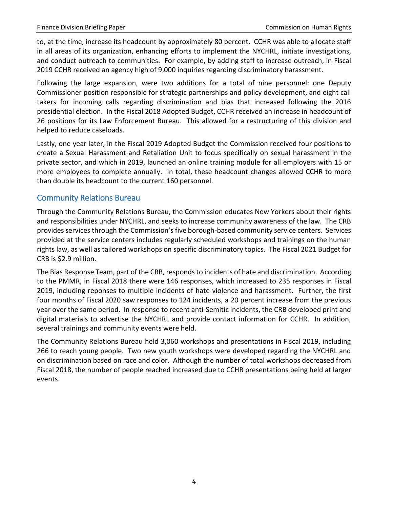to, at the time, increase its headcount by approximately 80 percent. CCHR was able to allocate staff in all areas of its organization, enhancing efforts to implement the NYCHRL, initiate investigations, and conduct outreach to communities. For example, by adding staff to increase outreach, in Fiscal 2019 CCHR received an agency high of 9,000 inquiries regarding discriminatory harassment.

Following the large expansion, were two additions for a total of nine personnel: one Deputy Commissioner position responsible for strategic partnerships and policy development, and eight call takers for incoming calls regarding discrimination and bias that increased following the 2016 presidential election. In the Fiscal 2018 Adopted Budget, CCHR received an increase in headcount of 26 positions for its Law Enforcement Bureau. This allowed for a restructuring of this division and helped to reduce caseloads.

Lastly, one year later, in the Fiscal 2019 Adopted Budget the Commission received four positions to create a Sexual Harassment and Retaliation Unit to focus specifically on sexual harassment in the private sector, and which in 2019, launched an online training module for all employers with 15 or more employees to complete annually. In total, these headcount changes allowed CCHR to more than double its headcount to the current 160 personnel.

## <span id="page-5-0"></span>Community Relations Bureau

Through the Community Relations Bureau, the Commission educates New Yorkers about their rights and responsibilities under NYCHRL, and seeks to increase community awareness of the law. The CRB provides services through the Commission's five borough-based community service centers. Services provided at the service centers includes regularly scheduled workshops and trainings on the human rights law, as well as tailored workshops on specific discriminatory topics. The Fiscal 2021 Budget for CRB is \$2.9 million.

The Bias Response Team, part of the CRB, responds to incidents of hate and discrimination. According to the PMMR, in Fiscal 2018 there were 146 responses, which increased to 235 responses in Fiscal 2019, including reponses to multiple incidents of hate violence and harassment. Further, the first four months of Fiscal 2020 saw responses to 124 incidents, a 20 percent increase from the previous year over the same period. In response to recent anti-Semitic incidents, the CRB developed print and digital materials to advertise the NYCHRL and provide contact information for CCHR. In addition, several trainings and community events were held.

The Community Relations Bureau held 3,060 workshops and presentations in Fiscal 2019, including 266 to reach young people. Two new youth workshops were developed regarding the NYCHRL and on discrimination based on race and color. Although the number of total workshops decreased from Fiscal 2018, the number of people reached increased due to CCHR presentations being held at larger events.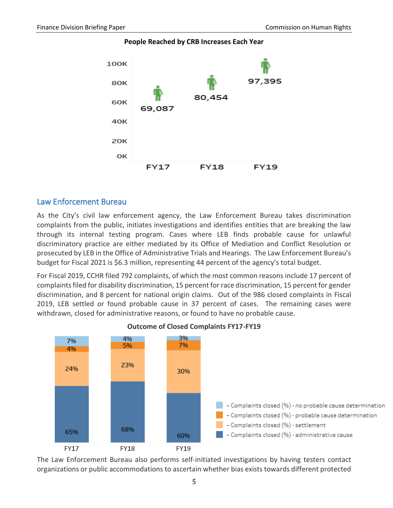

**People Reached by CRB Increases Each Year**

#### <span id="page-6-0"></span>Law Enforcement Bureau

As the City's civil law enforcement agency, the Law Enforcement Bureau takes discrimination complaints from the public, initiates investigations and identifies entities that are breaking the law through its internal testing program. Cases where LEB finds probable cause for unlawful discriminatory practice are either mediated by its Office of Mediation and Conflict Resolution or prosecuted by LEB in the Office of Administrative Trials and Hearings. The Law Enforcement Bureau's budget for Fiscal 2021 is \$6.3 million, representing 44 percent of the agency's total budget.

For Fiscal 2019, CCHR filed 792 complaints, of which the most common reasons include 17 percent of complaints filed for disability discrimination, 15 percent for race discrimination, 15 percent for gender discrimination, and 8 percent for national origin claims. Out of the 986 closed complaints in Fiscal 2019, LEB settled or found probable cause in 37 percent of cases. The remaining cases were withdrawn, closed for administrative reasons, or found to have no probable cause.



**Outcome of Closed Complaints FY17-FY19**

The Law Enforcement Bureau also performs self-initiated investigations by having testers contact organizations or public accommodations to ascertain whether bias exists towards different protected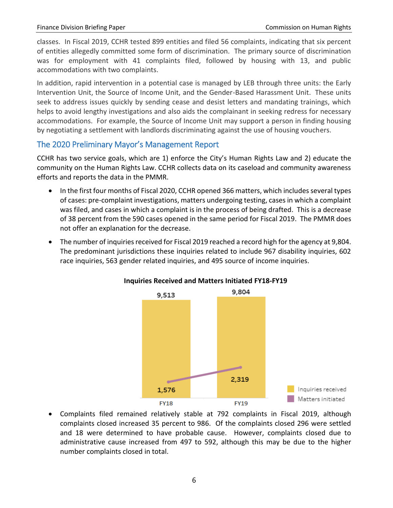classes. In Fiscal 2019, CCHR tested 899 entities and filed 56 complaints, indicating that six percent of entities allegedly committed some form of discrimination. The primary source of discrimination was for employment with 41 complaints filed, followed by housing with 13, and public accommodations with two complaints.

In addition, rapid intervention in a potential case is managed by LEB through three units: the Early Intervention Unit, the Source of Income Unit, and the Gender-Based Harassment Unit. These units seek to address issues quickly by sending cease and desist letters and mandating trainings, which helps to avoid lengthy investigations and also aids the complainant in seeking redress for necessary accommodations. For example, the Source of Income Unit may support a person in finding housing by negotiating a settlement with landlords discriminating against the use of housing vouchers.

## <span id="page-7-0"></span>The 2020 Preliminary Mayor's Management Report

CCHR has two service goals, which are 1) enforce the City's Human Rights Law and 2) educate the community on the Human Rights Law. CCHR collects data on its caseload and community awareness efforts and reports the data in the PMMR.

- In the first four months of Fiscal 2020, CCHR opened 366 matters, which includes several types of cases: pre-complaint investigations, matters undergoing testing, cases in which a complaint was filed, and cases in which a complaint is in the process of being drafted. This is a decrease of 38 percent from the 590 cases opened in the same period for Fiscal 2019. The PMMR does not offer an explanation for the decrease.
- The number of inquiries received for Fiscal 2019 reached a record high for the agency at 9,804. The predominant jurisdictions these inquiries related to include 967 disability inquiries, 602 race inquiries, 563 gender related inquiries, and 495 source of income inquiries.



#### **Inquiries Received and Matters Initiated FY18-FY19**

 Complaints filed remained relatively stable at 792 complaints in Fiscal 2019, although complaints closed increased 35 percent to 986. Of the complaints closed 296 were settled and 18 were determined to have probable cause. However, complaints closed due to administrative cause increased from 497 to 592, although this may be due to the higher number complaints closed in total.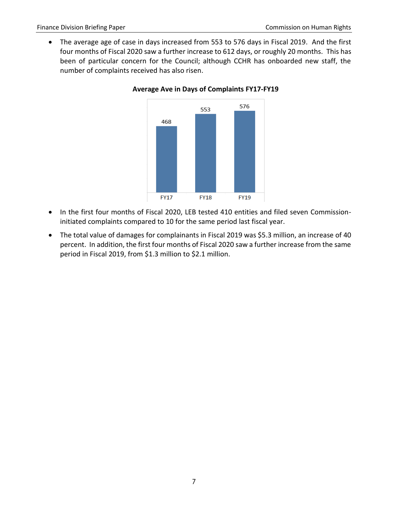The average age of case in days increased from 553 to 576 days in Fiscal 2019. And the first four months of Fiscal 2020 saw a further increase to 612 days, or roughly 20 months. This has been of particular concern for the Council; although CCHR has onboarded new staff, the number of complaints received has also risen.



**Average Ave in Days of Complaints FY17-FY19**

- In the first four months of Fiscal 2020, LEB tested 410 entities and filed seven Commissioninitiated complaints compared to 10 for the same period last fiscal year.
- The total value of damages for complainants in Fiscal 2019 was \$5.3 million, an increase of 40 percent. In addition, the first four months of Fiscal 2020 saw a further increase from the same period in Fiscal 2019, from \$1.3 million to \$2.1 million.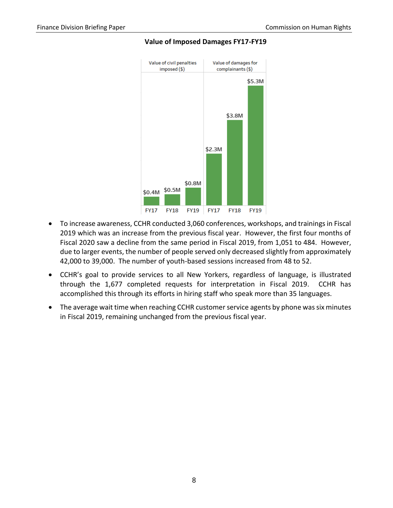

#### **Value of Imposed Damages FY17-FY19**

- To increase awareness, CCHR conducted 3,060 conferences, workshops, and trainings in Fiscal 2019 which was an increase from the previous fiscal year. However, the first four months of Fiscal 2020 saw a decline from the same period in Fiscal 2019, from 1,051 to 484. However, due to larger events, the number of people served only decreased slightly from approximately 42,000 to 39,000. The number of youth-based sessions increased from 48 to 52.
- CCHR's goal to provide services to all New Yorkers, regardless of language, is illustrated through the 1,677 completed requests for interpretation in Fiscal 2019. CCHR has accomplished this through its efforts in hiring staff who speak more than 35 languages.
- The average wait time when reaching CCHR customer service agents by phone was six minutes in Fiscal 2019, remaining unchanged from the previous fiscal year.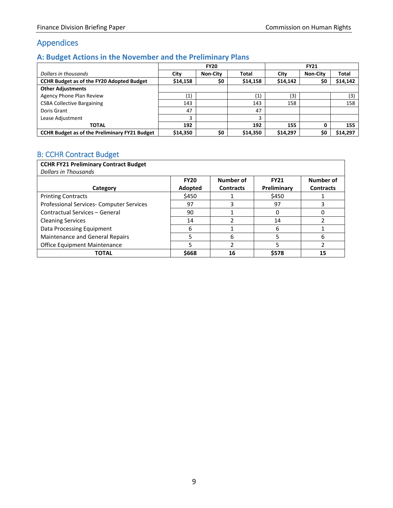# <span id="page-10-0"></span>Appendices

## <span id="page-10-1"></span>**A: Budget Actions in the November and the Preliminary Plans**

|                                                      | <b>FY20</b>                 |                 |                   | <b>FY21</b> |                 |          |  |
|------------------------------------------------------|-----------------------------|-----------------|-------------------|-------------|-----------------|----------|--|
| Dollars in thousands                                 | City                        | <b>Non-City</b> | Total             | City        | <b>Non-City</b> | Total    |  |
| <b>CCHR Budget as of the FY20 Adopted Budget</b>     | \$14,158                    | \$0             | \$14,158          | \$14,142    | \$0             | \$14,142 |  |
| <b>Other Adjustments</b>                             |                             |                 |                   |             |                 |          |  |
| Agency Phone Plan Review                             | $\left  \mathbf{1} \right $ |                 | $\left( 1\right)$ | (3)         |                 | (3)      |  |
| <b>CSBA Collective Bargaining</b>                    | 143                         |                 | 143               | 158         |                 | 158      |  |
| Doris Grant                                          | 47                          |                 | 47                |             |                 |          |  |
| Lease Adjustment                                     |                             |                 |                   |             |                 |          |  |
| <b>TOTAL</b>                                         | 192                         |                 | 192               | 155         |                 | 155      |  |
| <b>CCHR Budget as of the Preliminary FY21 Budget</b> | \$14,350                    | \$0             | \$14,350          | \$14.297    | \$0             | \$14,297 |  |

## <span id="page-10-2"></span>B: CCHR Contract Budget

| <b>CCHR FY21 Preliminary Contract Budget</b> |             |                  |             |                  |
|----------------------------------------------|-------------|------------------|-------------|------------------|
| Dollars in Thousands                         |             |                  |             |                  |
|                                              | <b>FY20</b> | Number of        | <b>FY21</b> | Number of        |
| Category                                     | Adopted     | <b>Contracts</b> | Preliminary | <b>Contracts</b> |
| <b>Printing Contracts</b>                    | \$450       |                  | \$450       |                  |
| Professional Services- Computer Services     | 97          |                  | 97          |                  |
| Contractual Services - General               | 90          |                  | 0           |                  |
| <b>Cleaning Services</b>                     | 14          |                  | 14          |                  |
| Data Processing Equipment                    | 6           |                  | 6           |                  |
| Maintenance and General Repairs              |             | 6                | 5           | 6                |
| Office Equipment Maintenance                 |             |                  | 5           |                  |
| <b>TOTAL</b>                                 | \$668       | 16               | \$578       | 15               |